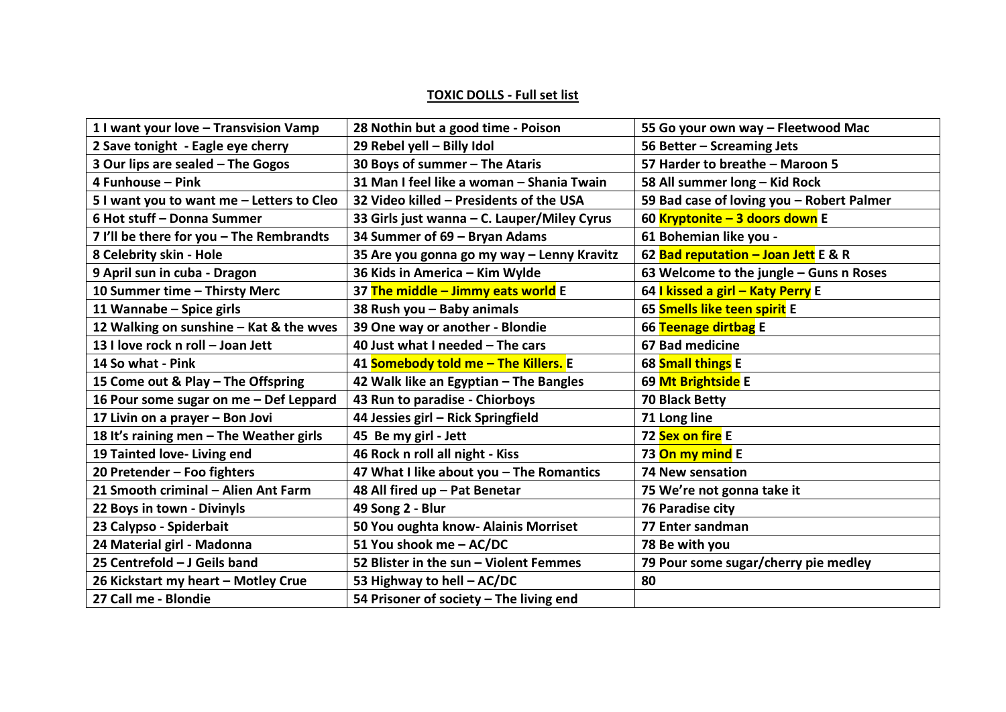## **TOXIC DOLLS - Full set list**

| 1 I want your love - Transvision Vamp     | 28 Nothin but a good time - Poison          | 55 Go your own way - Fleetwood Mac        |
|-------------------------------------------|---------------------------------------------|-------------------------------------------|
| 2 Save tonight - Eagle eye cherry         | 29 Rebel yell - Billy Idol                  | 56 Better - Screaming Jets                |
| 3 Our lips are sealed - The Gogos         | 30 Boys of summer - The Ataris              | 57 Harder to breathe - Maroon 5           |
| 4 Funhouse - Pink                         | 31 Man I feel like a woman - Shania Twain   | 58 All summer long - Kid Rock             |
| 5 I want you to want me - Letters to Cleo | 32 Video killed - Presidents of the USA     | 59 Bad case of loving you - Robert Palmer |
| 6 Hot stuff - Donna Summer                | 33 Girls just wanna - C. Lauper/Miley Cyrus | 60 Kryptonite - 3 doors down E            |
| 7 I'll be there for you - The Rembrandts  | 34 Summer of 69 - Bryan Adams               | 61 Bohemian like you -                    |
| 8 Celebrity skin - Hole                   | 35 Are you gonna go my way - Lenny Kravitz  | 62 Bad reputation - Joan Jett E & R       |
| 9 April sun in cuba - Dragon              | 36 Kids in America - Kim Wylde              | 63 Welcome to the jungle - Guns n Roses   |
| 10 Summer time - Thirsty Merc             | 37 The middle – Jimmy eats world E          | 64 I kissed a girl - Katy Perry E         |
| 11 Wannabe - Spice girls                  | 38 Rush you - Baby animals                  | 65 Smells like teen spirit E              |
| 12 Walking on sunshine - Kat & the wves   | 39 One way or another - Blondie             | 66 Teenage dirtbag E                      |
| 13 I love rock n roll - Joan Jett         | 40 Just what I needed - The cars            | 67 Bad medicine                           |
| 14 So what - Pink                         | 41 Somebody told me - The Killers. E        | 68 Small things E                         |
| 15 Come out & Play - The Offspring        | 42 Walk like an Egyptian - The Bangles      | 69 Mt Brightside E                        |
| 16 Pour some sugar on me - Def Leppard    | 43 Run to paradise - Chiorboys              | 70 Black Betty                            |
| 17 Livin on a prayer - Bon Jovi           | 44 Jessies girl - Rick Springfield          | 71 Long line                              |
| 18 It's raining men - The Weather girls   | 45 Be my girl - Jett                        | 72 Sex on fire E                          |
| 19 Tainted love- Living end               | 46 Rock n roll all night - Kiss             | 73 On my mind E                           |
| 20 Pretender - Foo fighters               | 47 What I like about you - The Romantics    | <b>74 New sensation</b>                   |
| 21 Smooth criminal - Alien Ant Farm       | 48 All fired up - Pat Benetar               | 75 We're not gonna take it                |
| 22 Boys in town - Divinyls                | 49 Song 2 - Blur                            | <b>76 Paradise city</b>                   |
| 23 Calypso - Spiderbait                   | 50 You oughta know- Alainis Morriset        | 77 Enter sandman                          |
| 24 Material girl - Madonna                | 51 You shook me - AC/DC                     | 78 Be with you                            |
| 25 Centrefold - J Geils band              | 52 Blister in the sun - Violent Femmes      | 79 Pour some sugar/cherry pie medley      |
| 26 Kickstart my heart - Motley Crue       | 53 Highway to hell - AC/DC                  | 80                                        |
| 27 Call me - Blondie                      | 54 Prisoner of society - The living end     |                                           |